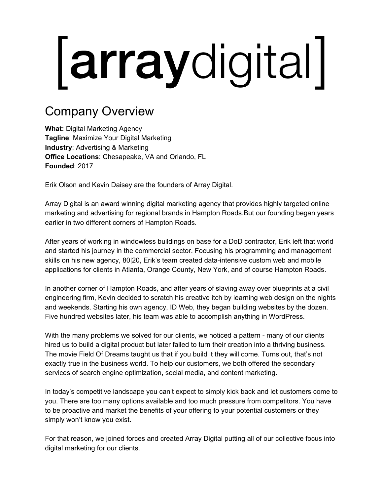# *arraydigital*

## Company Overview

**What:** Digital Marketing Agency **Tagline**: Maximize Your Digital Marketing **Industry**: Advertising & Marketing **Office Locations**: Chesapeake, VA and Orlando, FL **Founded**: 2017

Erik Olson and Kevin Daisey are the founders of Array Digital.

Array Digital is an award winning digital marketing agency that provides highly targeted online marketing and advertising for regional brands in Hampton Roads.But our founding began years earlier in two different corners of Hampton Roads.

After years of working in windowless buildings on base for a DoD contractor, Erik left that world and started his journey in the commercial sector. Focusing his programming and management skills on his new agency, 80|20, Erik's team created data-intensive custom web and mobile applications for clients in Atlanta, Orange County, New York, and of course Hampton Roads.

In another corner of Hampton Roads, and after years of slaving away over blueprints at a civil engineering firm, Kevin decided to scratch his creative itch by learning web design on the nights and weekends. Starting his own agency, ID Web, they began building websites by the dozen. Five hundred websites later, his team was able to accomplish anything in WordPress.

With the many problems we solved for our clients, we noticed a pattern - many of our clients hired us to build a digital product but later failed to turn their creation into a thriving business. The movie Field Of Dreams taught us that if you build it they will come. Turns out, that's not exactly true in the business world. To help our customers, we both offered the secondary services of search engine optimization, social media, and content marketing.

In today's competitive landscape you can't expect to simply kick back and let customers come to you. There are too many options available and too much pressure from competitors. You have to be proactive and market the benefits of your offering to your potential customers or they simply won't know you exist.

For that reason, we joined forces and created Array Digital putting all of our collective focus into digital marketing for our clients.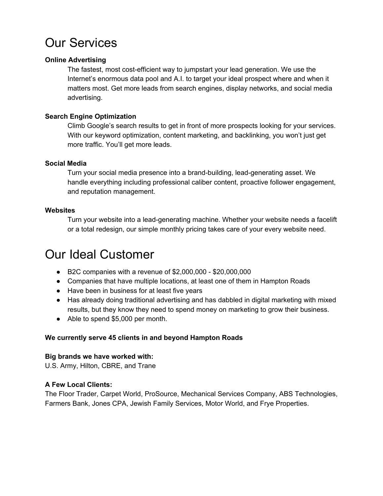## Our Services

#### **Online Advertising**

The fastest, most cost-efficient way to jumpstart your lead generation. We use the Internet's enormous data pool and A.I. to target your ideal prospect where and when it matters most. Get more leads from search engines, display networks, and social media advertising.

#### **Search Engine Optimization**

Climb Google's search results to get in front of more prospects looking for your services. With our keyword optimization, content marketing, and backlinking, you won't just get more traffic. You'll get more leads.

#### **Social Media**

Turn your social media presence into a brand-building, lead-generating asset. We handle everything including professional caliber content, proactive follower engagement, and reputation management.

#### **Websites**

Turn your website into a lead-generating machine. Whether your website needs a facelift or a total redesign, our simple monthly pricing takes care of your every website need.

## Our Ideal Customer

- B2C companies with a revenue of \$2,000,000 \$20,000,000
- Companies that have multiple locations, at least one of them in Hampton Roads
- Have been in business for at least five years
- Has already doing traditional advertising and has dabbled in digital marketing with mixed results, but they know they need to spend money on marketing to grow their business.
- Able to spend \$5,000 per month.

#### **We currently serve 45 clients in and beyond Hampton Roads**

#### **Big brands we have worked with:**

U.S. Army, Hilton, CBRE, and Trane

#### **A Few Local Clients:**

The Floor Trader, Carpet World, ProSource, Mechanical Services Company, ABS Technologies, Farmers Bank, Jones CPA, Jewish Family Services, Motor World, and Frye Properties.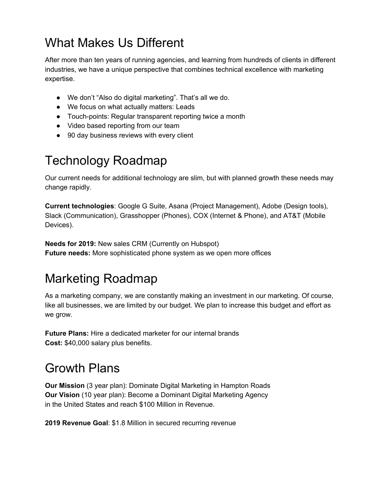## What Makes Us Different

After more than ten years of running agencies, and learning from hundreds of clients in different industries, we have a unique perspective that combines technical excellence with marketing expertise.

- We don't "Also do digital marketing". That's all we do.
- We focus on what actually matters: Leads
- Touch-points: Regular transparent reporting twice a month
- Video based reporting from our team
- 90 day business reviews with every client

## Technology Roadmap

Our current needs for additional technology are slim, but with planned growth these needs may change rapidly.

**Current technologies**: Google G Suite, Asana (Project Management), Adobe (Design tools), Slack (Communication), Grasshopper (Phones), COX (Internet & Phone), and AT&T (Mobile Devices).

**Needs for 2019:** New sales CRM (Currently on Hubspot) **Future needs:** More sophisticated phone system as we open more offices

## Marketing Roadmap

As a marketing company, we are constantly making an investment in our marketing. Of course, like all businesses, we are limited by our budget. We plan to increase this budget and effort as we grow.

**Future Plans:** Hire a dedicated marketer for our internal brands **Cost:** \$40,000 salary plus benefits.

## Growth Plans

**Our Mission** (3 year plan): Dominate Digital Marketing in Hampton Roads **Our Vision** (10 year plan): Become a Dominant Digital Marketing Agency in the United States and reach \$100 Million in Revenue.

**2019 Revenue Goal**: \$1.8 Million in secured recurring revenue